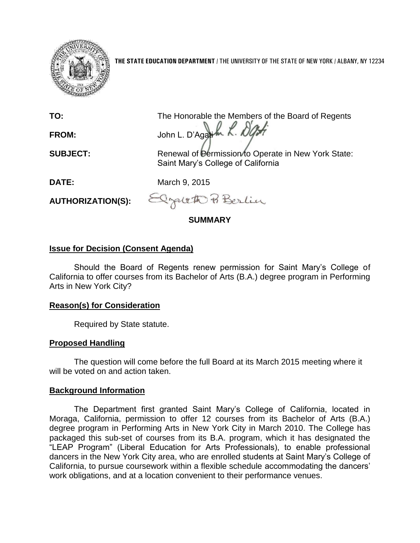

**THE STATE EDUCATION DEPARTMENT** / THE UNIVERSITY OF THE STATE OF NEW YORK / ALBANY, NY 12234

**TO:** The Honorable the Members of the Board of Regents FROM: John L. D'Agatik *R. DOS* 

**SUBJECT:** Renewal of Permission to Operate in New York State: Saint Mary's College of California

**DATE:** March 9, 2015

**AUTHORIZATION(S):**

- Cracetto Po Berlin

**SUMMARY**

# **Issue for Decision (Consent Agenda)**

Should the Board of Regents renew permission for Saint Mary's College of California to offer courses from its Bachelor of Arts (B.A.) degree program in Performing Arts in New York City?

## **Reason(s) for Consideration**

Required by State statute.

## **Proposed Handling**

The question will come before the full Board at its March 2015 meeting where it will be voted on and action taken.

#### **Background Information**

The Department first granted Saint Mary's College of California, located in Moraga, California, permission to offer 12 courses from its Bachelor of Arts (B.A.) degree program in Performing Arts in New York City in March 2010. The College has packaged this sub-set of courses from its B.A. program, which it has designated the "LEAP Program" (Liberal Education for Arts Professionals), to enable professional dancers in the New York City area, who are enrolled students at Saint Mary's College of California, to pursue coursework within a flexible schedule accommodating the dancers' work obligations, and at a location convenient to their performance venues.